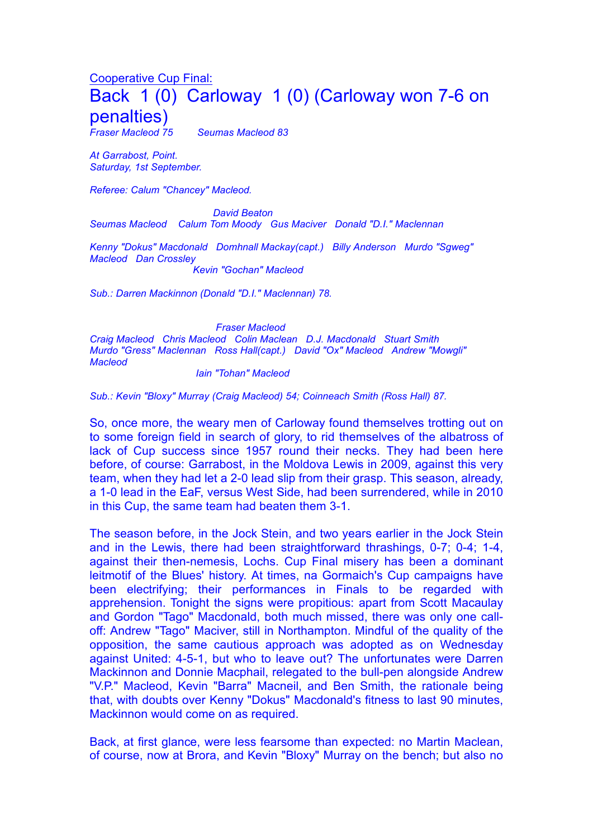## Cooperative Cup Final: Back 1 (0) Carloway 1 (0) (Carloway won 7-6 on **penalties)**<br>Fraser Macleod 75

*Fraser Macleod 75 Seumas Macleod 83* 

*At Garrabost, Point. Saturday, 1st September.*

*Referee: Calum "Chancey" Macleod.*

*David Beaton Seumas Macleod Calum Tom Moody Gus Maciver Donald "D.I." Maclennan*

*Kenny "Dokus" Macdonald Domhnall Mackay(capt.) Billy Anderson Murdo "Sgweg" Macleod Dan Crossley* 

*Kevin "Gochan" Macleod*

*Sub.: Darren Mackinnon (Donald "D.I." Maclennan) 78.*

*Fraser Macleod*

*Craig Macleod Chris Macleod Colin Maclean D.J. Macdonald Stuart Smith Murdo "Gress" Maclennan Ross Hall(capt.) David "Ox" Macleod Andrew "Mowgli" Macleod*

*Iain "Tohan" Macleod* 

*Sub.: Kevin "Bloxy" Murray (Craig Macleod) 54; Coinneach Smith (Ross Hall) 87.*

So, once more, the weary men of Carloway found themselves trotting out on to some foreign field in search of glory, to rid themselves of the albatross of lack of Cup success since 1957 round their necks. They had been here before, of course: Garrabost, in the Moldova Lewis in 2009, against this very team, when they had let a 2-0 lead slip from their grasp. This season, already, a 1-0 lead in the EaF, versus West Side, had been surrendered, while in 2010 in this Cup, the same team had beaten them 3-1.

The season before, in the Jock Stein, and two years earlier in the Jock Stein and in the Lewis, there had been straightforward thrashings, 0-7; 0-4; 1-4, against their then-nemesis, Lochs. Cup Final misery has been a dominant leitmotif of the Blues' history. At times, na Gormaich's Cup campaigns have been electrifying; their performances in Finals to be regarded with apprehension. Tonight the signs were propitious: apart from Scott Macaulay and Gordon "Tago" Macdonald, both much missed, there was only one calloff: Andrew "Tago" Maciver, still in Northampton. Mindful of the quality of the opposition, the same cautious approach was adopted as on Wednesday against United: 4-5-1, but who to leave out? The unfortunates were Darren Mackinnon and Donnie Macphail, relegated to the bull-pen alongside Andrew "V.P." Macleod, Kevin "Barra" Macneil, and Ben Smith, the rationale being that, with doubts over Kenny "Dokus" Macdonald's fitness to last 90 minutes, Mackinnon would come on as required.

Back, at first glance, were less fearsome than expected: no Martin Maclean, of course, now at Brora, and Kevin "Bloxy" Murray on the bench; but also no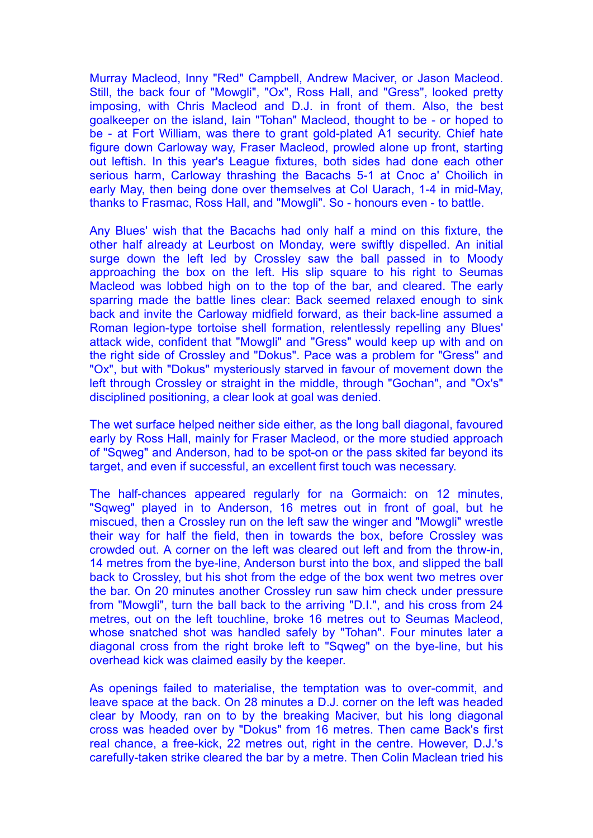Murray Macleod, Inny "Red" Campbell, Andrew Maciver, or Jason Macleod. Still, the back four of "Mowgli", "Ox", Ross Hall, and "Gress", looked pretty imposing, with Chris Macleod and D.J. in front of them. Also, the best goalkeeper on the island, Iain "Tohan" Macleod, thought to be - or hoped to be - at Fort William, was there to grant gold-plated A1 security. Chief hate figure down Carloway way, Fraser Macleod, prowled alone up front, starting out leftish. In this year's League fixtures, both sides had done each other serious harm, Carloway thrashing the Bacachs 5-1 at Cnoc a' Choilich in early May, then being done over themselves at Col Uarach, 1-4 in mid-May, thanks to Frasmac, Ross Hall, and "Mowgli". So - honours even - to battle.

Any Blues' wish that the Bacachs had only half a mind on this fixture, the other half already at Leurbost on Monday, were swiftly dispelled. An initial surge down the left led by Crossley saw the ball passed in to Moody approaching the box on the left. His slip square to his right to Seumas Macleod was lobbed high on to the top of the bar, and cleared. The early sparring made the battle lines clear: Back seemed relaxed enough to sink back and invite the Carloway midfield forward, as their back-line assumed a Roman legion-type tortoise shell formation, relentlessly repelling any Blues' attack wide, confident that "Mowgli" and "Gress" would keep up with and on the right side of Crossley and "Dokus". Pace was a problem for "Gress" and "Ox", but with "Dokus" mysteriously starved in favour of movement down the left through Crossley or straight in the middle, through "Gochan", and "Ox's" disciplined positioning, a clear look at goal was denied.

The wet surface helped neither side either, as the long ball diagonal, favoured early by Ross Hall, mainly for Fraser Macleod, or the more studied approach of "Sqweg" and Anderson, had to be spot-on or the pass skited far beyond its target, and even if successful, an excellent first touch was necessary.

The half-chances appeared regularly for na Gormaich: on 12 minutes, "Sqweg" played in to Anderson, 16 metres out in front of goal, but he miscued, then a Crossley run on the left saw the winger and "Mowgli" wrestle their way for half the field, then in towards the box, before Crossley was crowded out. A corner on the left was cleared out left and from the throw-in, 14 metres from the bye-line, Anderson burst into the box, and slipped the ball back to Crossley, but his shot from the edge of the box went two metres over the bar. On 20 minutes another Crossley run saw him check under pressure from "Mowgli", turn the ball back to the arriving "D.I.", and his cross from 24 metres, out on the left touchline, broke 16 metres out to Seumas Macleod, whose snatched shot was handled safely by "Tohan". Four minutes later a diagonal cross from the right broke left to "Sqweg" on the bye-line, but his overhead kick was claimed easily by the keeper.

As openings failed to materialise, the temptation was to over-commit, and leave space at the back. On 28 minutes a D.J. corner on the left was headed clear by Moody, ran on to by the breaking Maciver, but his long diagonal cross was headed over by "Dokus" from 16 metres. Then came Back's first real chance, a free-kick, 22 metres out, right in the centre. However, D.J.'s carefully-taken strike cleared the bar by a metre. Then Colin Maclean tried his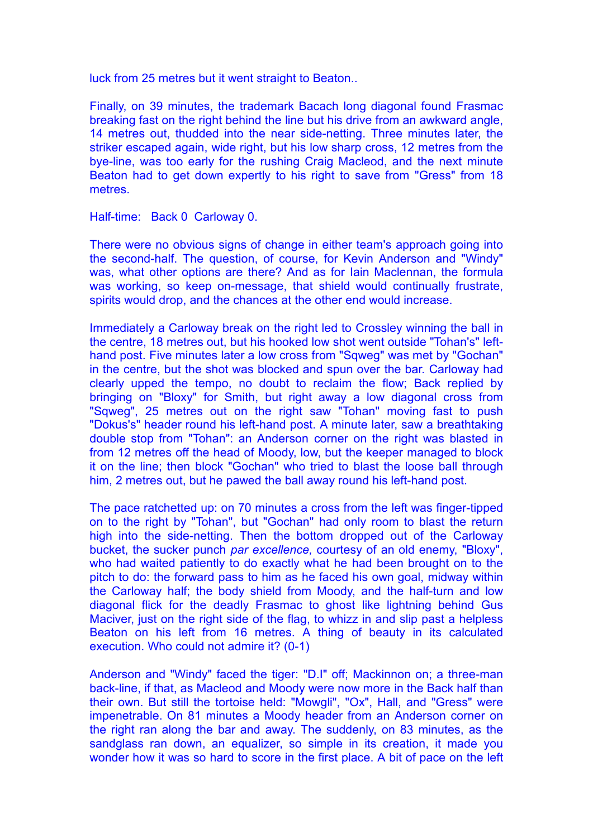luck from 25 metres but it went straight to Beaton..

Finally, on 39 minutes, the trademark Bacach long diagonal found Frasmac breaking fast on the right behind the line but his drive from an awkward angle, 14 metres out, thudded into the near side-netting. Three minutes later, the striker escaped again, wide right, but his low sharp cross, 12 metres from the bye-line, was too early for the rushing Craig Macleod, and the next minute Beaton had to get down expertly to his right to save from "Gress" from 18 metres.

Half-time: Back 0 Carloway 0.

There were no obvious signs of change in either team's approach going into the second-half. The question, of course, for Kevin Anderson and "Windy" was, what other options are there? And as for Iain Maclennan, the formula was working, so keep on-message, that shield would continually frustrate, spirits would drop, and the chances at the other end would increase.

Immediately a Carloway break on the right led to Crossley winning the ball in the centre, 18 metres out, but his hooked low shot went outside "Tohan's" lefthand post. Five minutes later a low cross from "Sqweg" was met by "Gochan" in the centre, but the shot was blocked and spun over the bar. Carloway had clearly upped the tempo, no doubt to reclaim the flow; Back replied by bringing on "Bloxy" for Smith, but right away a low diagonal cross from "Sqweg", 25 metres out on the right saw "Tohan" moving fast to push "Dokus's" header round his left-hand post. A minute later, saw a breathtaking double stop from "Tohan": an Anderson corner on the right was blasted in from 12 metres off the head of Moody, low, but the keeper managed to block it on the line; then block "Gochan" who tried to blast the loose ball through him, 2 metres out, but he pawed the ball away round his left-hand post.

The pace ratchetted up: on 70 minutes a cross from the left was finger-tipped on to the right by "Tohan", but "Gochan" had only room to blast the return high into the side-netting. Then the bottom dropped out of the Carloway bucket, the sucker punch *par excellence,* courtesy of an old enemy, "Bloxy", who had waited patiently to do exactly what he had been brought on to the pitch to do: the forward pass to him as he faced his own goal, midway within the Carloway half; the body shield from Moody, and the half-turn and low diagonal flick for the deadly Frasmac to ghost like lightning behind Gus Maciver, just on the right side of the flag, to whizz in and slip past a helpless Beaton on his left from 16 metres. A thing of beauty in its calculated execution. Who could not admire it? (0-1)

Anderson and "Windy" faced the tiger: "D.I" off; Mackinnon on; a three-man back-line, if that, as Macleod and Moody were now more in the Back half than their own. But still the tortoise held: "Mowgli", "Ox", Hall, and "Gress" were impenetrable. On 81 minutes a Moody header from an Anderson corner on the right ran along the bar and away. The suddenly, on 83 minutes, as the sandglass ran down, an equalizer, so simple in its creation, it made you wonder how it was so hard to score in the first place. A bit of pace on the left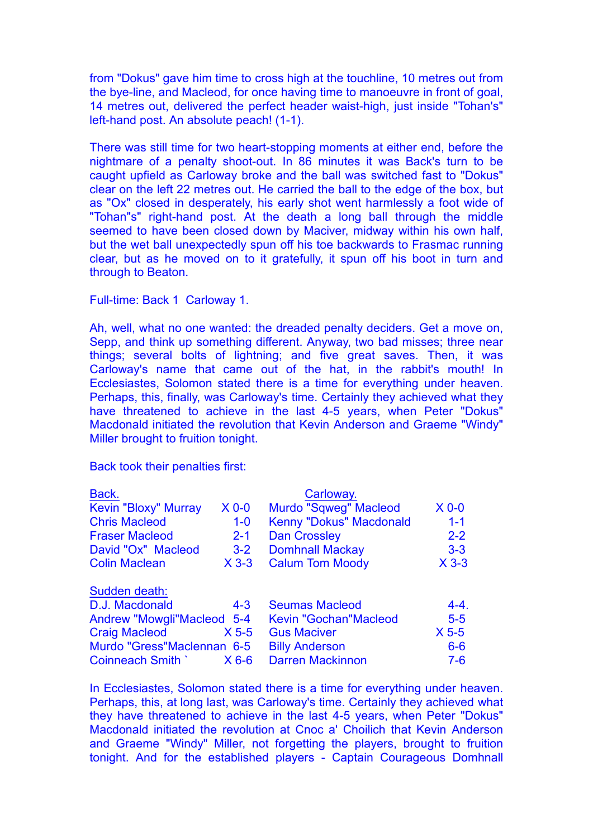from "Dokus" gave him time to cross high at the touchline, 10 metres out from the bye-line, and Macleod, for once having time to manoeuvre in front of goal, 14 metres out, delivered the perfect header waist-high, just inside "Tohan's" left-hand post. An absolute peach! (1-1).

There was still time for two heart-stopping moments at either end, before the nightmare of a penalty shoot-out. In 86 minutes it was Back's turn to be caught upfield as Carloway broke and the ball was switched fast to "Dokus" clear on the left 22 metres out. He carried the ball to the edge of the box, but as "Ox" closed in desperately, his early shot went harmlessly a foot wide of "Tohan"s" right-hand post. At the death a long ball through the middle seemed to have been closed down by Maciver, midway within his own half, but the wet ball unexpectedly spun off his toe backwards to Frasmac running clear, but as he moved on to it gratefully, it spun off his boot in turn and through to Beaton.

Full-time: Back 1 Carloway 1.

Ah, well, what no one wanted: the dreaded penalty deciders. Get a move on, Sepp, and think up something different. Anyway, two bad misses; three near things; several bolts of lightning; and five great saves. Then, it was Carloway's name that came out of the hat, in the rabbit's mouth! In Ecclesiastes, Solomon stated there is a time for everything under heaven. Perhaps, this, finally, was Carloway's time. Certainly they achieved what they have threatened to achieve in the last 4-5 years, when Peter "Dokus" Macdonald initiated the revolution that Kevin Anderson and Graeme "Windy" Miller brought to fruition tonight.

Back took their penalties first:

| Back.                       |         | Carloway.                      |           |
|-----------------------------|---------|--------------------------------|-----------|
| <b>Kevin "Bloxy" Murray</b> | $X$ 0-0 | <b>Murdo "Sqweg" Macleod</b>   | $X$ 0-0   |
| <b>Chris Macleod</b>        | $1-0$   | <b>Kenny "Dokus" Macdonald</b> | $1 - 1$   |
| <b>Fraser Macleod</b>       | $2 - 1$ | <b>Dan Crossley</b>            | $2 - 2$   |
| David "Ox" Macleod          | $3 - 2$ | <b>Domhnall Mackay</b>         | $3 - 3$   |
| <b>Colin Maclean</b>        | $X$ 3-3 | <b>Calum Tom Moody</b>         | $X$ 3-3   |
| Sudden death:               |         |                                |           |
| D.J. Macdonald              | $4 - 3$ | <b>Seumas Macleod</b>          | $4 - 4$ . |
| Andrew "Mowgli"Macleod 5-4  |         | <b>Kevin "Gochan"Macleod</b>   | $5-5$     |
| <b>Craig Macleod</b>        | $X$ 5-5 | <b>Gus Maciver</b>             | $X$ 5-5   |
| Murdo "Gress"Maclennan 6-5  |         | <b>Billy Anderson</b>          | $6-6$     |
| Coinneach Smith             | $X$ 6-6 | <b>Darren Mackinnon</b>        | $7 - 6$   |

In Ecclesiastes, Solomon stated there is a time for everything under heaven. Perhaps, this, at long last, was Carloway's time. Certainly they achieved what they have threatened to achieve in the last 4-5 years, when Peter "Dokus" Macdonald initiated the revolution at Cnoc a' Choilich that Kevin Anderson and Graeme "Windy" Miller, not forgetting the players, brought to fruition tonight. And for the established players - Captain Courageous Domhnall